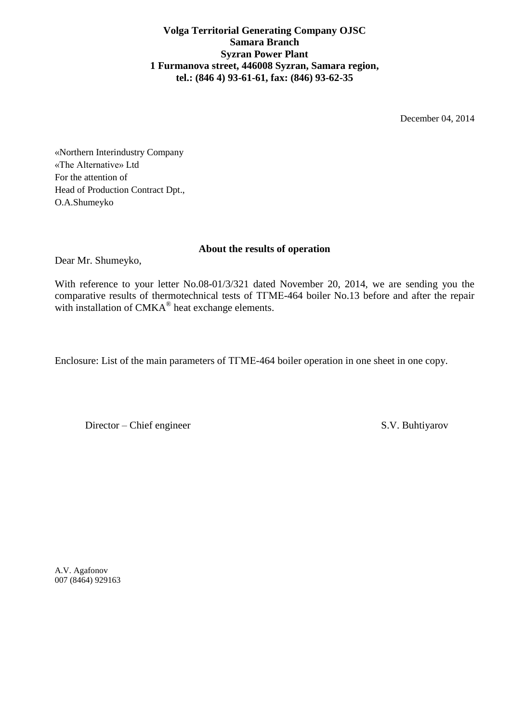**Volga Territorial Generating Company OJSC Samara Branch Syzran Power Plant 1 Furmanova street, 446008 Syzran, Samara region, tel.: (846 4) 93-61-61, fax: (846) 93-62-35**

December 04, 2014

«Northern Interindustry Company «The Alternative» Ltd For the attention of Head of Production Contract Dpt., O.A.Shumeyko

## **About the results of operation**

Dear Mr. Shumeyko,

With reference to your letter No.08-01/3/321 dated November 20, 2014, we are sending you the comparative results of thermotechnical tests of ТГМЕ-464 boiler No.13 before and after the repair with installation of  $CMKA^{\circledast}$  heat exchange elements.

Enclosure: List of the main parameters of ТГМЕ-464 boiler operation in one sheet in one copy.

Director – Chief engineer S.V. Buhtiyarov

A.V. Agafonov 007 (8464) 929163